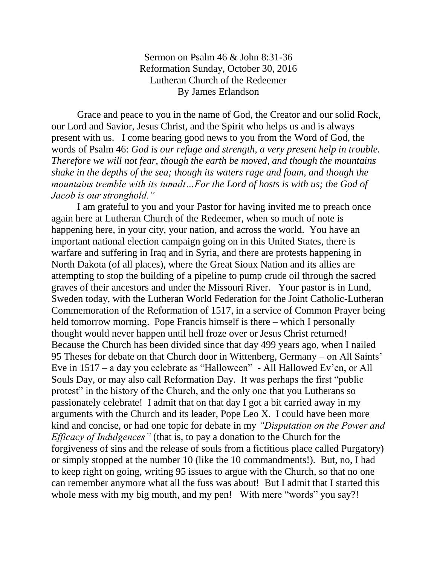Sermon on Psalm 46 & John 8:31-36 Reformation Sunday, October 30, 2016 Lutheran Church of the Redeemer By James Erlandson

Grace and peace to you in the name of God, the Creator and our solid Rock, our Lord and Savior, Jesus Christ, and the Spirit who helps us and is always present with us. I come bearing good news to you from the Word of God, the words of Psalm 46: *God is our refuge and strength, a very present help in trouble. Therefore we will not fear, though the earth be moved, and though the mountains shake in the depths of the sea; though its waters rage and foam, and though the mountains tremble with its tumult…For the Lord of hosts is with us; the God of Jacob is our stronghold."*

I am grateful to you and your Pastor for having invited me to preach once again here at Lutheran Church of the Redeemer, when so much of note is happening here, in your city, your nation, and across the world. You have an important national election campaign going on in this United States, there is warfare and suffering in Iraq and in Syria, and there are protests happening in North Dakota (of all places), where the Great Sioux Nation and its allies are attempting to stop the building of a pipeline to pump crude oil through the sacred graves of their ancestors and under the Missouri River. Your pastor is in Lund, Sweden today, with the Lutheran World Federation for the Joint Catholic-Lutheran Commemoration of the Reformation of 1517, in a service of Common Prayer being held tomorrow morning. Pope Francis himself is there – which I personally thought would never happen until hell froze over or Jesus Christ returned! Because the Church has been divided since that day 499 years ago, when I nailed 95 Theses for debate on that Church door in Wittenberg, Germany – on All Saints' Eve in 1517 – a day you celebrate as "Halloween" - All Hallowed Ev'en, or All Souls Day, or may also call Reformation Day. It was perhaps the first "public protest" in the history of the Church, and the only one that you Lutherans so passionately celebrate! I admit that on that day I got a bit carried away in my arguments with the Church and its leader, Pope Leo X. I could have been more kind and concise, or had one topic for debate in my *"Disputation on the Power and Efficacy of Indulgences"* (that is, to pay a donation to the Church for the forgiveness of sins and the release of souls from a fictitious place called Purgatory) or simply stopped at the number 10 (like the 10 commandments!). But, no, I had to keep right on going, writing 95 issues to argue with the Church, so that no one can remember anymore what all the fuss was about! But I admit that I started this whole mess with my big mouth, and my pen! With mere "words" you say?!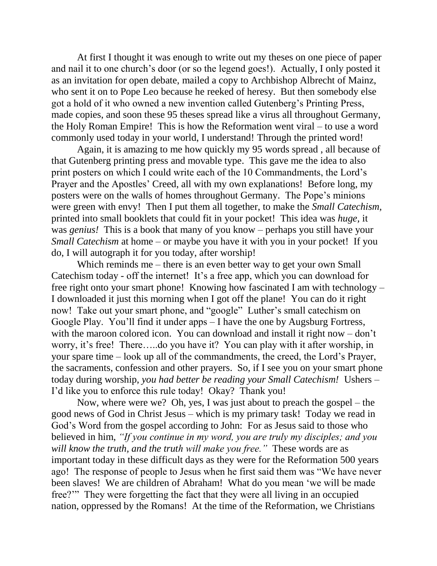At first I thought it was enough to write out my theses on one piece of paper and nail it to one church's door (or so the legend goes!). Actually, I only posted it as an invitation for open debate, mailed a copy to Archbishop Albrecht of Mainz, who sent it on to Pope Leo because he reeked of heresy. But then somebody else got a hold of it who owned a new invention called Gutenberg's Printing Press, made copies, and soon these 95 theses spread like a virus all throughout Germany, the Holy Roman Empire! This is how the Reformation went viral – to use a word commonly used today in your world, I understand! Through the printed word!

Again, it is amazing to me how quickly my 95 words spread , all because of that Gutenberg printing press and movable type. This gave me the idea to also print posters on which I could write each of the 10 Commandments, the Lord's Prayer and the Apostles' Creed, all with my own explanations! Before long, my posters were on the walls of homes throughout Germany. The Pope's minions were green with envy! Then I put them all together, to make the *Small Catechism,* printed into small booklets that could fit in your pocket! This idea was *huge,* it was *genius!* This is a book that many of you know – perhaps you still have your *Small Catechism* at home – or maybe you have it with you in your pocket! If you do, I will autograph it for you today, after worship!

Which reminds me – there is an even better way to get your own Small Catechism today - off the internet! It's a free app, which you can download for free right onto your smart phone! Knowing how fascinated I am with technology – I downloaded it just this morning when I got off the plane! You can do it right now! Take out your smart phone, and "google" Luther's small catechism on Google Play. You'll find it under apps – I have the one by Augsburg Fortress, with the maroon colored icon. You can download and install it right now – don't worry, it's free! There…..do you have it? You can play with it after worship, in your spare time – look up all of the commandments, the creed, the Lord's Prayer, the sacraments, confession and other prayers. So, if I see you on your smart phone today during worship, *you had better be reading your Small Catechism!* Ushers – I'd like you to enforce this rule today! Okay? Thank you!

Now, where were we? Oh, yes, I was just about to preach the gospel – the good news of God in Christ Jesus – which is my primary task! Today we read in God's Word from the gospel according to John: For as Jesus said to those who believed in him, *"If you continue in my word, you are truly my disciples; and you will know the truth, and the truth will make you free."* These words are as important today in these difficult days as they were for the Reformation 500 years ago! The response of people to Jesus when he first said them was "We have never been slaves! We are children of Abraham! What do you mean 'we will be made free?'" They were forgetting the fact that they were all living in an occupied nation, oppressed by the Romans! At the time of the Reformation, we Christians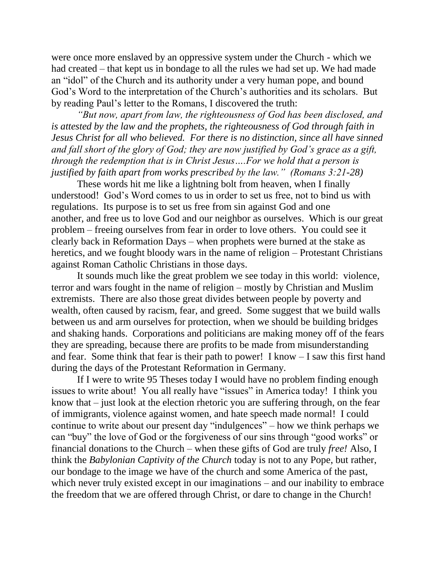were once more enslaved by an oppressive system under the Church - which we had created – that kept us in bondage to all the rules we had set up. We had made an "idol" of the Church and its authority under a very human pope, and bound God's Word to the interpretation of the Church's authorities and its scholars. But by reading Paul's letter to the Romans, I discovered the truth:

*"But now, apart from law, the righteousness of God has been disclosed, and is attested by the law and the prophets, the righteousness of God through faith in Jesus Christ for all who believed. For there is no distinction, since all have sinned and fall short of the glory of God; they are now justified by God's grace as a gift, through the redemption that is in Christ Jesus….For we hold that a person is justified by faith apart from works prescribed by the law." (Romans 3:21-28)*

These words hit me like a lightning bolt from heaven, when I finally understood! God's Word comes to us in order to set us free, not to bind us with regulations. Its purpose is to set us free from sin against God and one another, and free us to love God and our neighbor as ourselves. Which is our great problem – freeing ourselves from fear in order to love others. You could see it clearly back in Reformation Days – when prophets were burned at the stake as heretics, and we fought bloody wars in the name of religion – Protestant Christians against Roman Catholic Christians in those days.

It sounds much like the great problem we see today in this world: violence, terror and wars fought in the name of religion – mostly by Christian and Muslim extremists. There are also those great divides between people by poverty and wealth, often caused by racism, fear, and greed. Some suggest that we build walls between us and arm ourselves for protection, when we should be building bridges and shaking hands. Corporations and politicians are making money off of the fears they are spreading, because there are profits to be made from misunderstanding and fear. Some think that fear is their path to power! I know – I saw this first hand during the days of the Protestant Reformation in Germany.

If I were to write 95 Theses today I would have no problem finding enough issues to write about! You all really have "issues" in America today! I think you know that – just look at the election rhetoric you are suffering through, on the fear of immigrants, violence against women, and hate speech made normal! I could continue to write about our present day "indulgences" – how we think perhaps we can "buy" the love of God or the forgiveness of our sins through "good works" or financial donations to the Church – when these gifts of God are truly *free!* Also, I think the *Babylonian Captivity of the Church* today is not to any Pope, but rather, our bondage to the image we have of the church and some America of the past, which never truly existed except in our imaginations – and our inability to embrace the freedom that we are offered through Christ, or dare to change in the Church!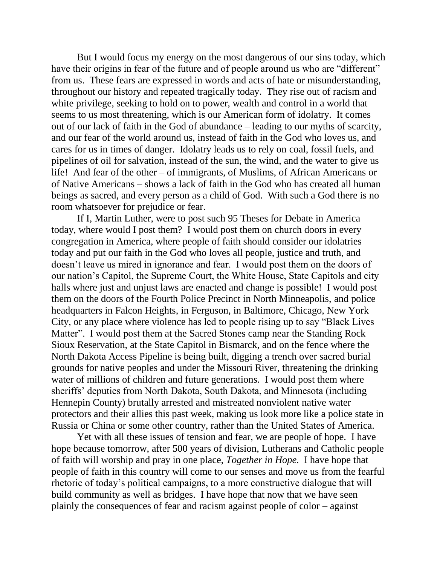But I would focus my energy on the most dangerous of our sins today, which have their origins in fear of the future and of people around us who are "different" from us. These fears are expressed in words and acts of hate or misunderstanding, throughout our history and repeated tragically today. They rise out of racism and white privilege, seeking to hold on to power, wealth and control in a world that seems to us most threatening, which is our American form of idolatry. It comes out of our lack of faith in the God of abundance – leading to our myths of scarcity, and our fear of the world around us, instead of faith in the God who loves us, and cares for us in times of danger. Idolatry leads us to rely on coal, fossil fuels, and pipelines of oil for salvation, instead of the sun, the wind, and the water to give us life! And fear of the other – of immigrants, of Muslims, of African Americans or of Native Americans – shows a lack of faith in the God who has created all human beings as sacred, and every person as a child of God. With such a God there is no room whatsoever for prejudice or fear.

If I, Martin Luther, were to post such 95 Theses for Debate in America today, where would I post them? I would post them on church doors in every congregation in America, where people of faith should consider our idolatries today and put our faith in the God who loves all people, justice and truth, and doesn't leave us mired in ignorance and fear. I would post them on the doors of our nation's Capitol, the Supreme Court, the White House, State Capitols and city halls where just and unjust laws are enacted and change is possible! I would post them on the doors of the Fourth Police Precinct in North Minneapolis, and police headquarters in Falcon Heights, in Ferguson, in Baltimore, Chicago, New York City, or any place where violence has led to people rising up to say "Black Lives Matter". I would post them at the Sacred Stones camp near the Standing Rock Sioux Reservation, at the State Capitol in Bismarck, and on the fence where the North Dakota Access Pipeline is being built, digging a trench over sacred burial grounds for native peoples and under the Missouri River, threatening the drinking water of millions of children and future generations. I would post them where sheriffs' deputies from North Dakota, South Dakota, and Minnesota (including Hennepin County) brutally arrested and mistreated nonviolent native water protectors and their allies this past week, making us look more like a police state in Russia or China or some other country, rather than the United States of America.

Yet with all these issues of tension and fear, we are people of hope. I have hope because tomorrow, after 500 years of division, Lutherans and Catholic people of faith will worship and pray in one place, *Together in Hope.* I have hope that people of faith in this country will come to our senses and move us from the fearful rhetoric of today's political campaigns, to a more constructive dialogue that will build community as well as bridges. I have hope that now that we have seen plainly the consequences of fear and racism against people of color – against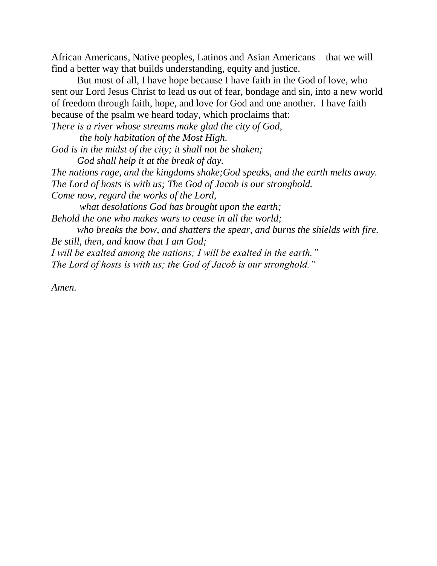African Americans, Native peoples, Latinos and Asian Americans – that we will find a better way that builds understanding, equity and justice.

But most of all, I have hope because I have faith in the God of love, who sent our Lord Jesus Christ to lead us out of fear, bondage and sin, into a new world of freedom through faith, hope, and love for God and one another. I have faith because of the psalm we heard today, which proclaims that:

*There is a river whose streams make glad the city of God, the holy habitation of the Most High. God is in the midst of the city; it shall not be shaken; God shall help it at the break of day. The nations rage, and the kingdoms shake;God speaks, and the earth melts away. The Lord of hosts is with us; The God of Jacob is our stronghold. Come now, regard the works of the Lord, what desolations God has brought upon the earth; Behold the one who makes wars to cease in all the world; who breaks the bow, and shatters the spear, and burns the shields with fire. Be still, then, and know that I am God; I will be exalted among the nations; I will be exalted in the earth." The Lord of hosts is with us; the God of Jacob is our stronghold."*

*Amen.*